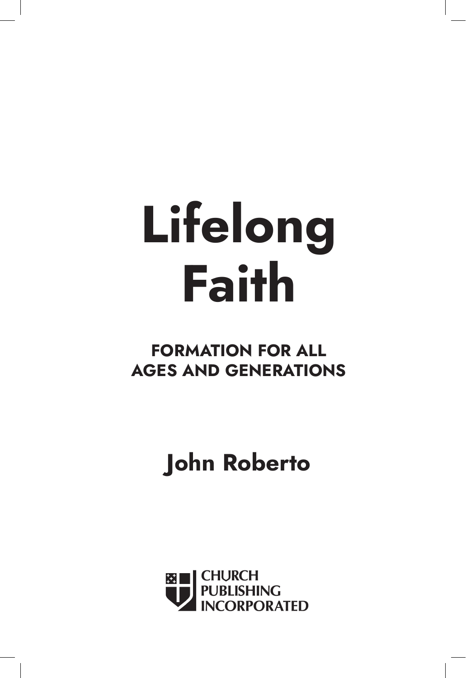# **Lifelong Faith**

## **FORMATION FOR ALL AGES AND GENERATIONS**

## **John Roberto**

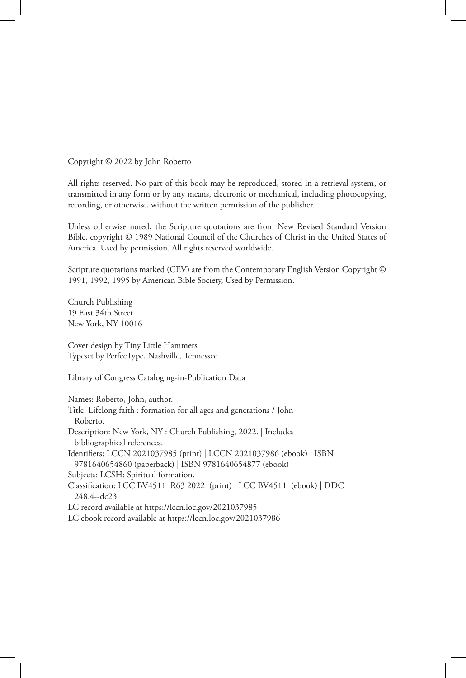Copyright © 2022 by John Roberto

All rights reserved. No part of this book may be reproduced, stored in a retrieval system, or transmitted in any form or by any means, electronic or mechanical, including photocopying, recording, or otherwise, without the written permission of the publisher.

Unless otherwise noted, the Scripture quotations are from New Revised Standard Version Bible, copyright © 1989 National Council of the Churches of Christ in the United States of America. Used by permission. All rights reserved worldwide.

Scripture quotations marked (CEV) are from the Contemporary English Version Copyright © 1991, 1992, 1995 by American Bible Society, Used by Permission.

Church Publishing 19 East 34th Street New York, NY 10016

Cover design by Tiny Little Hammers Typeset by PerfecType, Nashville, Tennessee

Library of Congress Cataloging-in-Publication Data

Names: Roberto, John, author.

Title: Lifelong faith : formation for all ages and generations / John Roberto. Description: New York, NY : Church Publishing, 2022. | Includes bibliographical references. Identifiers: LCCN 2021037985 (print) | LCCN 2021037986 (ebook) | ISBN 9781640654860 (paperback) | ISBN 9781640654877 (ebook) Subjects: LCSH: Spiritual formation. Classification: LCC BV4511 .R63 2022 (print) | LCC BV4511 (ebook) | DDC 248.4--dc23 LC record available at https://lccn.loc.gov/2021037985 LC ebook record available at https://lccn.loc.gov/2021037986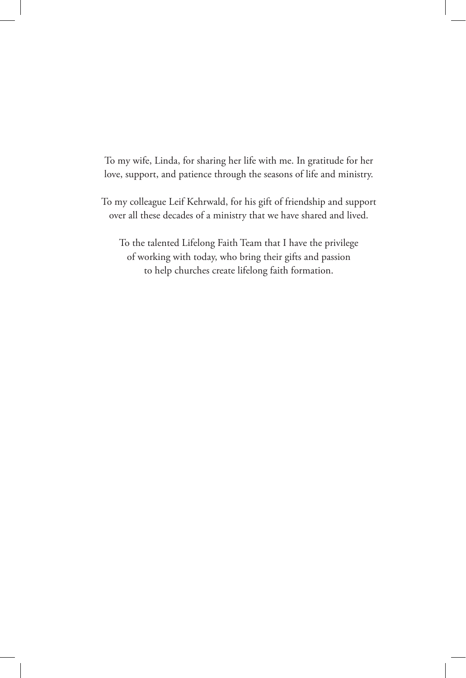To my wife, Linda, for sharing her life with me. In gratitude for her love, support, and patience through the seasons of life and ministry.

To my colleague Leif Kehrwald, for his gift of friendship and support over all these decades of a ministry that we have shared and lived.

To the talented Lifelong Faith Team that I have the privilege of working with today, who bring their gifts and passion to help churches create lifelong faith formation.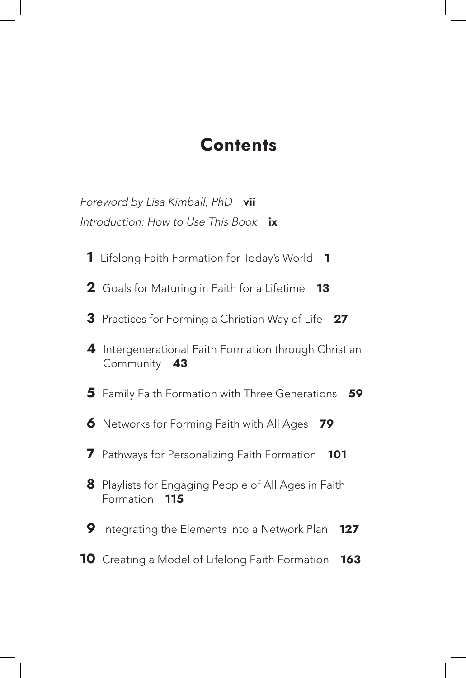### **Contents**

Foreword by Lisa Kimball, PhD **vii** Introduction: How to Use This Book **ix**

- Lifelong Faith Formation for Today's World **1**
- Goals for Maturing in Faith for a Lifetime **13**
- Practices for Forming a Christian Way of Life **27**
- Intergenerational Faith Formation through Christian Community **43**
- Family Faith Formation with Three Generations **59**
- Networks for Forming Faith with All Ages **79**
- Pathways for Personalizing Faith Formation **101**
- Playlists for Engaging People of All Ages in Faith Formation **115**
- Integrating the Elements into a Network Plan **127**
- Creating a Model of Lifelong Faith Formation **163**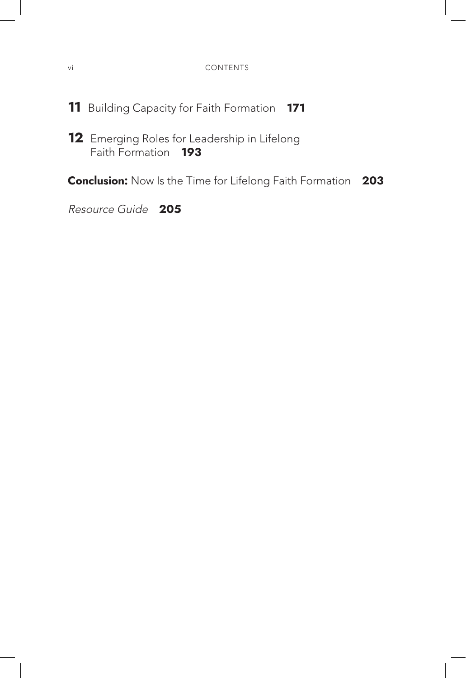- **11** Building Capacity for Faith Formation **171**
- **12** Emerging Roles for Leadership in Lifelong Faith Formation **193**

**Conclusion:** Now Is the Time for Lifelong Faith Formation **203**

Resource Guide **205**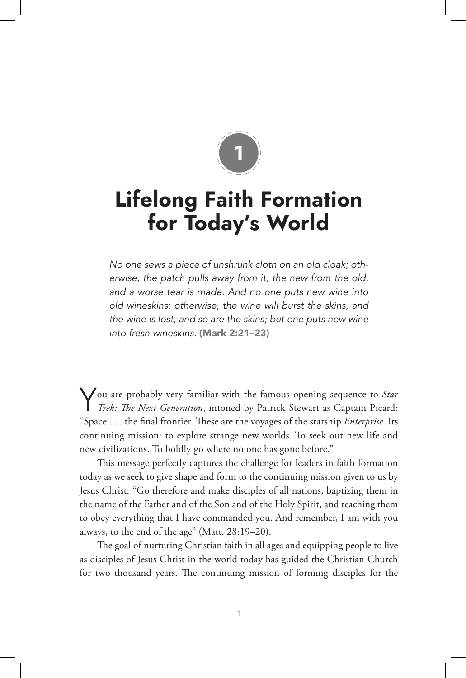

## **Lifelong Faith Formation for Today's World**

*No one sews a piece of unshrunk cloth on an old cloak; otherwise, the patch pulls away from it, the new from the old, and a worse tear is made. And no one puts new wine into old wineskins; otherwise, the wine will burst the skins, and the wine is lost, and so are the skins; but one puts new wine into fresh wineskins.* (Mark 2:21–23)

You are probably very familiar with the famous opening sequence to *Star Trek: The Next Generation*, intoned by Patrick Stewart as Captain Picard: "Space . . . the final frontier. These are the voyages of the starship *Enterprise*. Its continuing mission: to explore strange new worlds. To seek out new life and new civilizations. To boldly go where no one has gone before."

This message perfectly captures the challenge for leaders in faith formation today as we seek to give shape and form to the continuing mission given to us by Jesus Christ: "Go therefore and make disciples of all nations, baptizing them in the name of the Father and of the Son and of the Holy Spirit, and teaching them to obey everything that I have commanded you. And remember, I am with you always, to the end of the age" (Matt. 28:19–20).

The goal of nurturing Christian faith in all ages and equipping people to live as disciples of Jesus Christ in the world today has guided the Christian Church for two thousand years. The continuing mission of forming disciples for the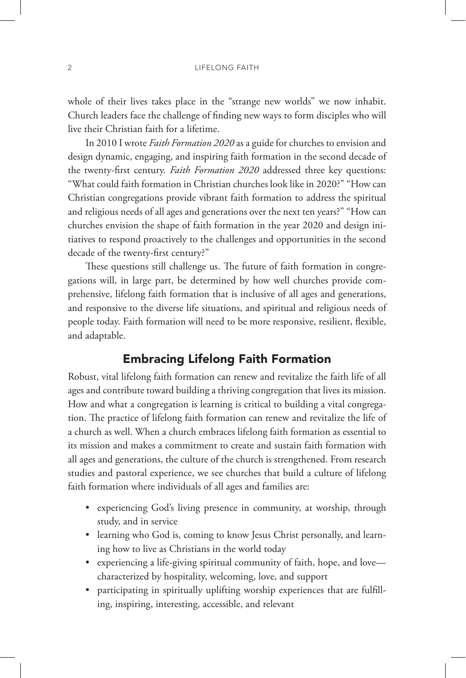whole of their lives takes place in the "strange new worlds" we now inhabit. Church leaders face the challenge of finding new ways to form disciples who will live their Christian faith for a lifetime.

In 2010 I wrote *Faith Formation 2020* as a guide for churches to envision and design dynamic, engaging, and inspiring faith formation in the second decade of the twenty-first century. *Faith Formation 2020* addressed three key questions: "What could faith formation in Christian churches look like in 2020?" "How can Christian congregations provide vibrant faith formation to address the spiritual and religious needs of all ages and generations over the next ten years?" "How can churches envision the shape of faith formation in the year 2020 and design initiatives to respond proactively to the challenges and opportunities in the second decade of the twenty-first century?"

These questions still challenge us. The future of faith formation in congregations will, in large part, be determined by how well churches provide comprehensive, lifelong faith formation that is inclusive of all ages and generations, and responsive to the diverse life situations, and spiritual and religious needs of people today. Faith formation will need to be more responsive, resilient, flexible, and adaptable.

#### Embracing Lifelong Faith Formation

Robust, vital lifelong faith formation can renew and revitalize the faith life of all ages and contribute toward building a thriving congregation that lives its mission. How and what a congregation is learning is critical to building a vital congregation. The practice of lifelong faith formation can renew and revitalize the life of a church as well. When a church embraces lifelong faith formation as essential to its mission and makes a commitment to create and sustain faith formation with all ages and generations, the culture of the church is strengthened. From research studies and pastoral experience, we see churches that build a culture of lifelong faith formation where individuals of all ages and families are:

- experiencing God's living presence in community, at worship, through study, and in service
- learning who God is, coming to know Jesus Christ personally, and learning how to live as Christians in the world today
- experiencing a life-giving spiritual community of faith, hope, and love characterized by hospitality, welcoming, love, and support
- participating in spiritually uplifting worship experiences that are fulfilling, inspiring, interesting, accessible, and relevant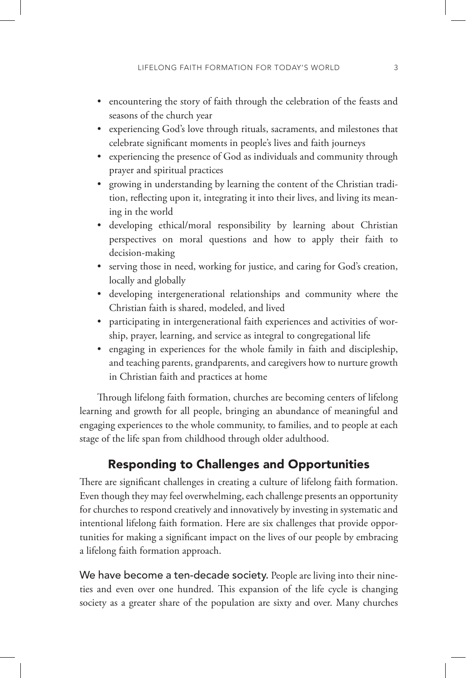- encountering the story of faith through the celebration of the feasts and seasons of the church year
- experiencing God's love through rituals, sacraments, and milestones that celebrate significant moments in people's lives and faith journeys
- experiencing the presence of God as individuals and community through prayer and spiritual practices
- growing in understanding by learning the content of the Christian tradition, reflecting upon it, integrating it into their lives, and living its meaning in the world
- developing ethical/moral responsibility by learning about Christian perspectives on moral questions and how to apply their faith to decision-making
- serving those in need, working for justice, and caring for God's creation, locally and globally
- developing intergenerational relationships and community where the Christian faith is shared, modeled, and lived
- participating in intergenerational faith experiences and activities of worship, prayer, learning, and service as integral to congregational life
- engaging in experiences for the whole family in faith and discipleship, and teaching parents, grandparents, and caregivers how to nurture growth in Christian faith and practices at home

Through lifelong faith formation, churches are becoming centers of lifelong learning and growth for all people, bringing an abundance of meaningful and engaging experiences to the whole community, to families, and to people at each stage of the life span from childhood through older adulthood.

#### Responding to Challenges and Opportunities

There are significant challenges in creating a culture of lifelong faith formation. Even though they may feel overwhelming, each challenge presents an opportunity for churches to respond creatively and innovatively by investing in systematic and intentional lifelong faith formation. Here are six challenges that provide opportunities for making a significant impact on the lives of our people by embracing a lifelong faith formation approach.

We have become a ten-decade society. People are living into their nineties and even over one hundred. This expansion of the life cycle is changing society as a greater share of the population are sixty and over. Many churches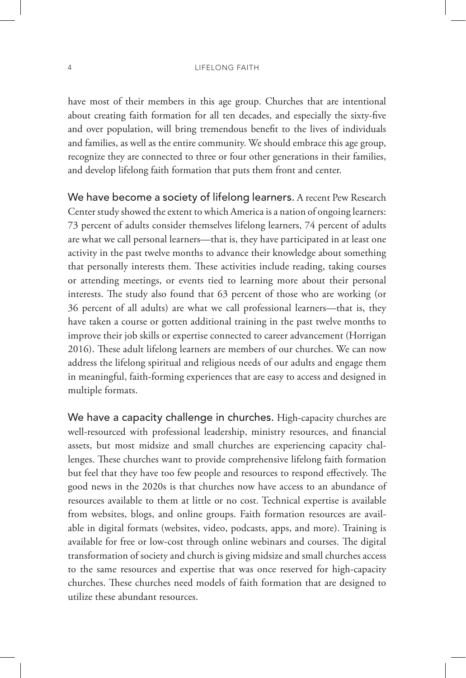4 LIFELONG FAITH

have most of their members in this age group. Churches that are intentional about creating faith formation for all ten decades, and especially the sixty-five and over population, will bring tremendous benefit to the lives of individuals and families, as well as the entire community. We should embrace this age group, recognize they are connected to three or four other generations in their families, and develop lifelong faith formation that puts them front and center.

We have become a society of lifelong learners. A recent Pew Research Center study showed the extent to which America is a nation of ongoing learners: 73 percent of adults consider themselves lifelong learners, 74 percent of adults are what we call personal learners—that is, they have participated in at least one activity in the past twelve months to advance their knowledge about something that personally interests them. These activities include reading, taking courses or attending meetings, or events tied to learning more about their personal interests. The study also found that 63 percent of those who are working (or 36 percent of all adults) are what we call professional learners—that is, they have taken a course or gotten additional training in the past twelve months to improve their job skills or expertise connected to career advancement (Horrigan 2016). These adult lifelong learners are members of our churches. We can now address the lifelong spiritual and religious needs of our adults and engage them in meaningful, faith-forming experiences that are easy to access and designed in multiple formats.

We have a capacity challenge in churches. High-capacity churches are well-resourced with professional leadership, ministry resources, and financial assets, but most midsize and small churches are experiencing capacity challenges. These churches want to provide comprehensive lifelong faith formation but feel that they have too few people and resources to respond effectively. The good news in the 2020s is that churches now have access to an abundance of resources available to them at little or no cost. Technical expertise is available from websites, blogs, and online groups. Faith formation resources are available in digital formats (websites, video, podcasts, apps, and more). Training is available for free or low-cost through online webinars and courses. The digital transformation of society and church is giving midsize and small churches access to the same resources and expertise that was once reserved for high-capacity churches. These churches need models of faith formation that are designed to utilize these abundant resources.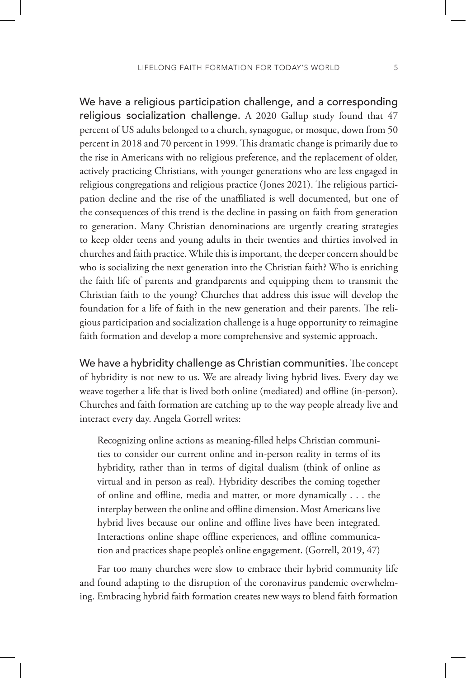We have a religious participation challenge, and a corresponding religious socialization challenge. A 2020 Gallup study found that 47 percent of US adults belonged to a church, synagogue, or mosque, down from 50 percent in 2018 and 70 percent in 1999. This dramatic change is primarily due to the rise in Americans with no religious preference, and the replacement of older, actively practicing Christians, with younger generations who are less engaged in religious congregations and religious practice (Jones 2021). The religious participation decline and the rise of the unaffiliated is well documented, but one of the consequences of this trend is the decline in passing on faith from generation to generation. Many Christian denominations are urgently creating strategies to keep older teens and young adults in their twenties and thirties involved in churches and faith practice. While this is important, the deeper concern should be who is socializing the next generation into the Christian faith? Who is enriching the faith life of parents and grandparents and equipping them to transmit the Christian faith to the young? Churches that address this issue will develop the foundation for a life of faith in the new generation and their parents. The religious participation and socialization challenge is a huge opportunity to reimagine faith formation and develop a more comprehensive and systemic approach.

We have a hybridity challenge as Christian communities. The concept of hybridity is not new to us. We are already living hybrid lives. Every day we weave together a life that is lived both online (mediated) and offline (in-person). Churches and faith formation are catching up to the way people already live and interact every day. Angela Gorrell writes:

Recognizing online actions as meaning-filled helps Christian communities to consider our current online and in-person reality in terms of its hybridity, rather than in terms of digital dualism (think of online as virtual and in person as real). Hybridity describes the coming together of online and offline, media and matter, or more dynamically  $\dots$  the interplay between the online and offline dimension. Most Americans live hybrid lives because our online and offline lives have been integrated. Interactions online shape offline experiences, and offline communication and practices shape people's online engagement. (Gorrell, 2019, 47)

Far too many churches were slow to embrace their hybrid community life and found adapting to the disruption of the coronavirus pandemic overwhelming. Embracing hybrid faith formation creates new ways to blend faith formation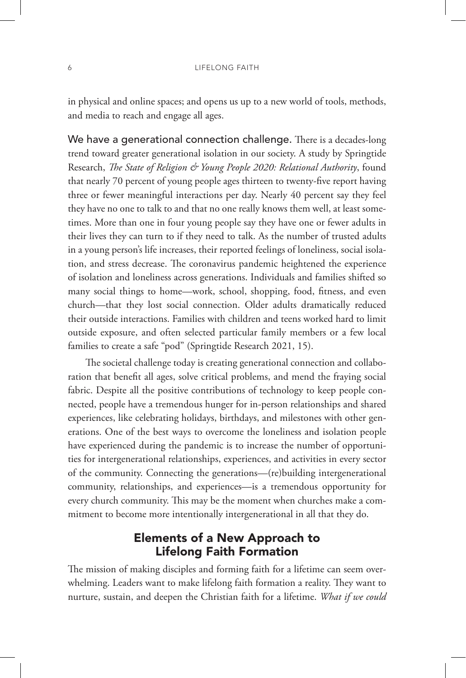in physical and online spaces; and opens us up to a new world of tools, methods, and media to reach and engage all ages.

We have a generational connection challenge. There is a decades-long trend toward greater generational isolation in our society. A study by Springtide Research, *The State of Religion & Young People 2020: Relational Authority*, found that nearly 70 percent of young people ages thirteen to twenty-five report having three or fewer meaningful interactions per day. Nearly 40 percent say they feel they have no one to talk to and that no one really knows them well, at least sometimes. More than one in four young people say they have one or fewer adults in their lives they can turn to if they need to talk. As the number of trusted adults in a young person's life increases, their reported feelings of loneliness, social isolation, and stress decrease. The coronavirus pandemic heightened the experience of isolation and loneliness across generations. Individuals and families shifted so many social things to home—work, school, shopping, food, fitness, and even church—that they lost social connection. Older adults dramatically reduced their outside interactions. Families with children and teens worked hard to limit outside exposure, and often selected particular family members or a few local families to create a safe "pod" (Springtide Research 2021, 15).

The societal challenge today is creating generational connection and collaboration that benefit all ages, solve critical problems, and mend the fraying social fabric. Despite all the positive contributions of technology to keep people connected, people have a tremendous hunger for in-person relationships and shared experiences, like celebrating holidays, birthdays, and milestones with other generations. One of the best ways to overcome the loneliness and isolation people have experienced during the pandemic is to increase the number of opportunities for intergenerational relationships, experiences, and activities in every sector of the community. Connecting the generations—(re)building intergenerational community, relationships, and experiences—is a tremendous opportunity for every church community. This may be the moment when churches make a commitment to become more intentionally intergenerational in all that they do.

#### Elements of a New Approach to Lifelong Faith Formation

The mission of making disciples and forming faith for a lifetime can seem overwhelming. Leaders want to make lifelong faith formation a reality. They want to nurture, sustain, and deepen the Christian faith for a lifetime. *What if we could*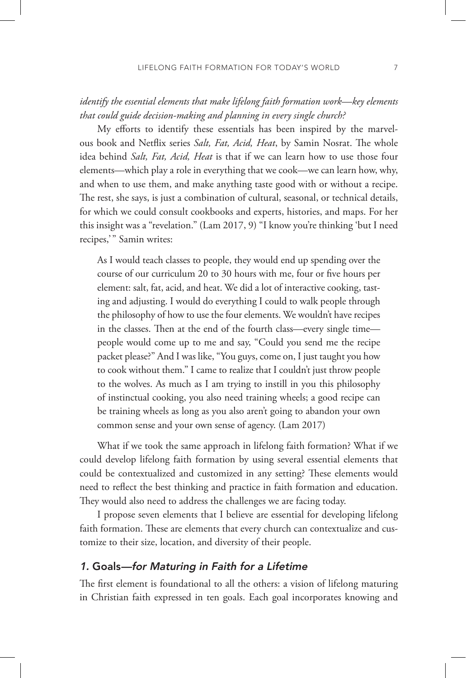#### *identify the essential elements that make lifelong faith formation work—key elements that could guide decision-making and planning in every single church?*

My efforts to identify these essentials has been inspired by the marvelous book and Netflix series *Salt, Fat, Acid, Heat*, by Samin Nosrat. The whole idea behind *Salt, Fat, Acid, Heat* is that if we can learn how to use those four elements—which play a role in everything that we cook—we can learn how, why, and when to use them, and make anything taste good with or without a recipe. The rest, she says, is just a combination of cultural, seasonal, or technical details, for which we could consult cookbooks and experts, histories, and maps. For her this insight was a "revelation." (Lam 2017, 9) "I know you're thinking 'but I need recipes," Samin writes:

As I would teach classes to people, they would end up spending over the course of our curriculum 20 to 30 hours with me, four or five hours per element: salt, fat, acid, and heat. We did a lot of interactive cooking, tasting and adjusting. I would do everything I could to walk people through the philosophy of how to use the four elements. We wouldn't have recipes in the classes. Then at the end of the fourth class—every single time people would come up to me and say, "Could you send me the recipe packet please?" And I was like, "You guys, come on, I just taught you how to cook without them." I came to realize that I couldn't just throw people to the wolves. As much as I am trying to instill in you this philosophy of instinctual cooking, you also need training wheels; a good recipe can be training wheels as long as you also aren't going to abandon your own common sense and your own sense of agency. (Lam 2017)

What if we took the same approach in lifelong faith formation? What if we could develop lifelong faith formation by using several essential elements that could be contextualized and customized in any setting? These elements would need to reflect the best thinking and practice in faith formation and education. They would also need to address the challenges we are facing today.

I propose seven elements that I believe are essential for developing lifelong faith formation. These are elements that every church can contextualize and customize to their size, location, and diversity of their people.

#### 1. Goals—for Maturing in Faith for a Lifetime

The first element is foundational to all the others: a vision of lifelong maturing in Christian faith expressed in ten goals. Each goal incorporates knowing and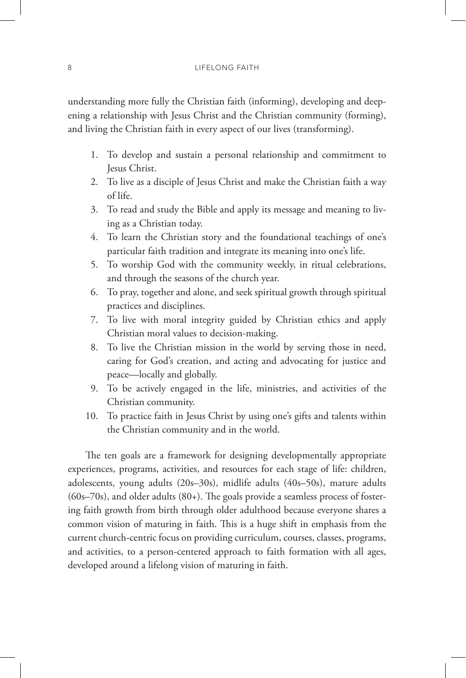understanding more fully the Christian faith (informing), developing and deepening a relationship with Jesus Christ and the Christian community (forming), and living the Christian faith in every aspect of our lives (transforming).

- 1. To develop and sustain a personal relationship and commitment to Jesus Christ.
- 2. To live as a disciple of Jesus Christ and make the Christian faith a way of life.
- 3. To read and study the Bible and apply its message and meaning to living as a Christian today.
- 4. To learn the Christian story and the foundational teachings of one's particular faith tradition and integrate its meaning into one's life.
- 5. To worship God with the community weekly, in ritual celebrations, and through the seasons of the church year.
- 6. To pray, together and alone, and seek spiritual growth through spiritual practices and disciplines.
- 7. To live with moral integrity guided by Christian ethics and apply Christian moral values to decision-making.
- 8. To live the Christian mission in the world by serving those in need, caring for God's creation, and acting and advocating for justice and peace—locally and globally.
- 9. To be actively engaged in the life, ministries, and activities of the Christian community.
- 10. To practice faith in Jesus Christ by using one's gifts and talents within the Christian community and in the world.

The ten goals are a framework for designing developmentally appropriate experiences, programs, activities, and resources for each stage of life: children, adolescents, young adults (20s–30s), midlife adults (40s–50s), mature adults  $(60s-70s)$ , and older adults  $(80+)$ . The goals provide a seamless process of fostering faith growth from birth through older adulthood because everyone shares a common vision of maturing in faith. This is a huge shift in emphasis from the current church-centric focus on providing curriculum, courses, classes, programs, and activities, to a person-centered approach to faith formation with all ages, developed around a lifelong vision of maturing in faith.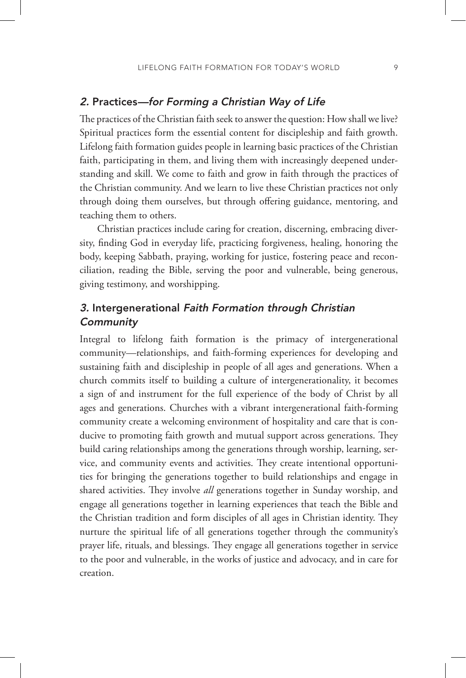#### 2. Practices—for Forming a Christian Way of Life

The practices of the Christian faith seek to answer the question: How shall we live? Spiritual practices form the essential content for discipleship and faith growth. Lifelong faith formation guides people in learning basic practices of the Christian faith, participating in them, and living them with increasingly deepened understanding and skill. We come to faith and grow in faith through the practices of the Christian community. And we learn to live these Christian practices not only through doing them ourselves, but through offering guidance, mentoring, and teaching them to others.

Christian practices include caring for creation, discerning, embracing diversity, finding God in everyday life, practicing forgiveness, healing, honoring the body, keeping Sabbath, praying, working for justice, fostering peace and reconciliation, reading the Bible, serving the poor and vulnerable, being generous, giving testimony, and worshipping.

#### 3. Intergenerational Faith Formation through Christian **Community**

Integral to lifelong faith formation is the primacy of intergenerational community—relationships, and faith-forming experiences for developing and sustaining faith and discipleship in people of all ages and generations. When a church commits itself to building a culture of intergenerationality, it becomes a sign of and instrument for the full experience of the body of Christ by all ages and generations. Churches with a vibrant intergenerational faith-forming community create a welcoming environment of hospitality and care that is conducive to promoting faith growth and mutual support across generations. They build caring relationships among the generations through worship, learning, service, and community events and activities. They create intentional opportunities for bringing the generations together to build relationships and engage in shared activities. They involve *all* generations together in Sunday worship, and engage all generations together in learning experiences that teach the Bible and the Christian tradition and form disciples of all ages in Christian identity. They nurture the spiritual life of all generations together through the community's prayer life, rituals, and blessings. They engage all generations together in service to the poor and vulnerable, in the works of justice and advocacy, and in care for creation.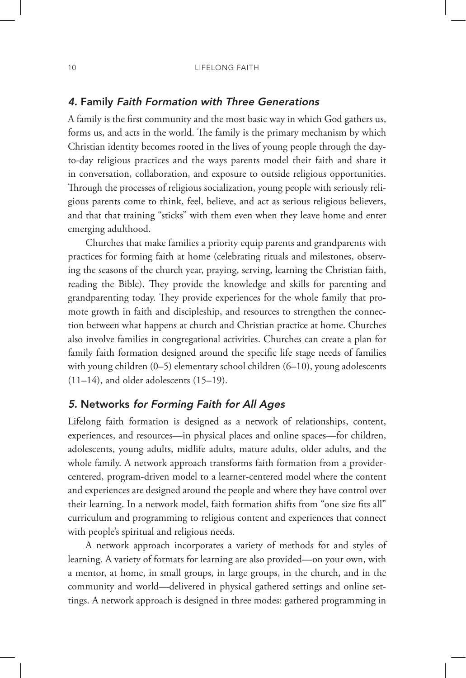#### 4. Family Faith Formation with Three Generations

A family is the first community and the most basic way in which God gathers us, forms us, and acts in the world. The family is the primary mechanism by which Christian identity becomes rooted in the lives of young people through the dayto-day religious practices and the ways parents model their faith and share it in conversation, collaboration, and exposure to outside religious opportunities. Through the processes of religious socialization, young people with seriously religious parents come to think, feel, believe, and act as serious religious believers, and that that training "sticks" with them even when they leave home and enter emerging adulthood.

Churches that make families a priority equip parents and grandparents with practices for forming faith at home (celebrating rituals and milestones, observing the seasons of the church year, praying, serving, learning the Christian faith, reading the Bible). They provide the knowledge and skills for parenting and grandparenting today. They provide experiences for the whole family that promote growth in faith and discipleship, and resources to strengthen the connection between what happens at church and Christian practice at home. Churches also involve families in congregational activities. Churches can create a plan for family faith formation designed around the specific life stage needs of families with young children (0–5) elementary school children (6–10), young adolescents  $(11–14)$ , and older adolescents  $(15–19)$ .

#### 5. Networks for Forming Faith for All Ages

Lifelong faith formation is designed as a network of relationships, content, experiences, and resources—in physical places and online spaces—for children, adolescents, young adults, midlife adults, mature adults, older adults, and the whole family. A network approach transforms faith formation from a providercentered, program-driven model to a learner-centered model where the content and experiences are designed around the people and where they have control over their learning. In a network model, faith formation shifts from "one size fits all" curriculum and programming to religious content and experiences that connect with people's spiritual and religious needs.

A network approach incorporates a variety of methods for and styles of learning. A variety of formats for learning are also provided—on your own, with a mentor, at home, in small groups, in large groups, in the church, and in the community and world—delivered in physical gathered settings and online settings. A network approach is designed in three modes: gathered programming in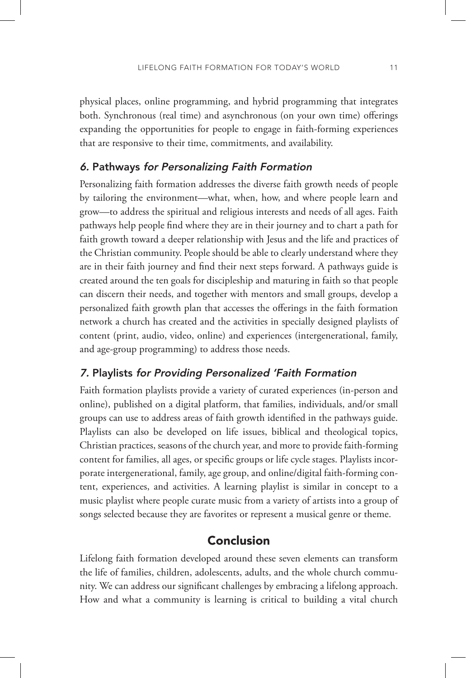physical places, online programming, and hybrid programming that integrates both. Synchronous (real time) and asynchronous (on your own time) offerings expanding the opportunities for people to engage in faith-forming experiences that are responsive to their time, commitments, and availability.

#### 6. Pathways for Personalizing Faith Formation

Personalizing faith formation addresses the diverse faith growth needs of people by tailoring the environment—what, when, how, and where people learn and grow—to address the spiritual and religious interests and needs of all ages. Faith pathways help people find where they are in their journey and to chart a path for faith growth toward a deeper relationship with Jesus and the life and practices of the Christian community. People should be able to clearly understand where they are in their faith journey and find their next steps forward. A pathways guide is created around the ten goals for discipleship and maturing in faith so that people can discern their needs, and together with mentors and small groups, develop a personalized faith growth plan that accesses the offerings in the faith formation network a church has created and the activities in specially designed playlists of content (print, audio, video, online) and experiences (intergenerational, family, and age-group programming) to address those needs.

#### 7. Playlists for Providing Personalized 'Faith Formation

Faith formation playlists provide a variety of curated experiences (in-person and online), published on a digital platform, that families, individuals, and/or small groups can use to address areas of faith growth identified in the pathways guide. Playlists can also be developed on life issues, biblical and theological topics, Christian practices, seasons of the church year, and more to provide faith-forming content for families, all ages, or specific groups or life cycle stages. Playlists incorporate intergenerational, family, age group, and online/digital faith-forming content, experiences, and activities. A learning playlist is similar in concept to a music playlist where people curate music from a variety of artists into a group of songs selected because they are favorites or represent a musical genre or theme.

#### Conclusion

Lifelong faith formation developed around these seven elements can transform the life of families, children, adolescents, adults, and the whole church community. We can address our significant challenges by embracing a lifelong approach. How and what a community is learning is critical to building a vital church